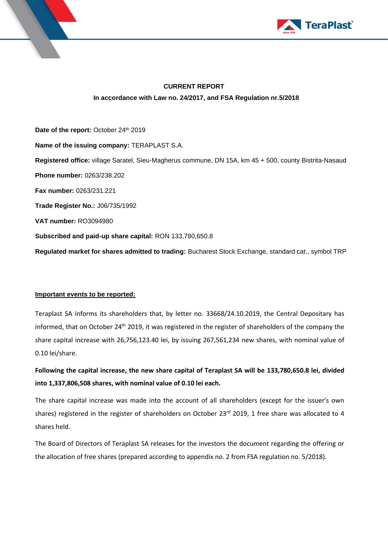



# **CURRENT REPORT In accordance with Law no. 24/2017, and FSA Regulation nr.5/2018**

Date of the report: October 24<sup>th</sup> 2019 **Name of the issuing company:** TERAPLAST S.A. **Registered office:** village Saratel, Sieu-Magherus commune, DN 15A, km 45 + 500, county Bistrita-Nasaud **Phone number:** 0263/238.202 **Fax number:** 0263/231.221 **Trade Register No.:** J06/735/1992 **VAT number:** RO3094980 **Subscribed and paid-up share capital:** RON 133,780,650.8 **Regulated market for shares admitted to trading:** Bucharest Stock Exchange, standard cat., symbol TRP

# **Important events to be reported:**

Teraplast SA informs its shareholders that, by letter no. 33668/24.10.2019, the Central Depositary has informed, that on October 24<sup>th</sup> 2019, it was registered in the register of shareholders of the company the share capital increase with 26,756,123.40 lei, by issuing 267,561,234 new shares, with nominal value of 0.10 lei/share.

**Following the capital increase, the new share capital of Teraplast SA will be 133,780,650.8 lei, divided into 1,337,806,508 shares, with nominal value of 0.10 lei each.** 

The share capital increase was made into the account of all shareholders (except for the issuer's own shares) registered in the register of shareholders on October 23rd 2019, 1 free share was allocated to 4 shares held.

The Board of Directors of Teraplast SA releases for the investors the document regarding the offering or the allocation of free shares (prepared according to appendix no. 2 from FSA regulation no. 5/2018).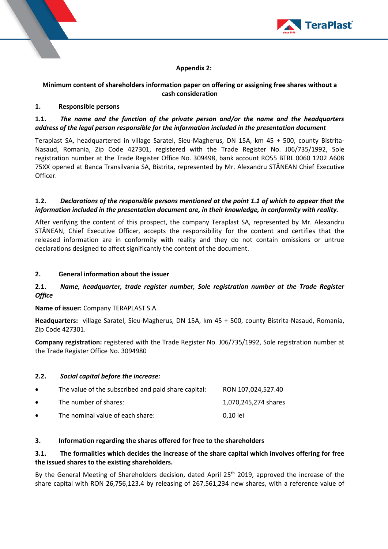

# **Appendix 2:**

## **Minimum content of shareholders information paper on offering or assigning free shares without a cash consideration**

#### **1. Responsible persons**

# **1.1.** *The name and the function of the private person and/or the name and the headquarters address of the legal person responsible for the information included in the presentation document*

Teraplast SA, headquartered in village Saratel, Sieu-Magherus, DN 15A, km 45 + 500, county Bistrita-Nasaud, Romania, Zip Code 427301, registered with the Trade Register No. J06/735/1992, Sole registration number at the Trade Register Office No. 309498, bank account RO55 BTRL 0060 1202 A608 75XX opened at Banca Transilvania SA, Bistrita, represented by Mr. Alexandru STÂNEAN Chief Executive Officer.

### **1.2.** *Declarations of the responsible persons mentioned at the point 1.1 of which to appear that the information included in the presentation document are, in their knowledge, in conformity with reality.*

After verifying the content of this prospect, the company Teraplast SA, represented by Mr. Alexandru STÂNEAN, Chief Executive Officer, accepts the responsibility for the content and certifies that the released information are in conformity with reality and they do not contain omissions or untrue declarations designed to affect significantly the content of the document.

### **2. General information about the issuer**

# **2.1.** *Name, headquarter, trade register number, Sole registration number at the Trade Register Office*

**Name of issuer:** Company TERAPLAST S.A.

**Headquarters:** village Saratel, Sieu-Magherus, DN 15A, km 45 + 500, county Bistrita-Nasaud, Romania, Zip Code 427301.

**Company registration:** registered with the Trade Register No. J06/735/1992, Sole registration number at the Trade Register Office No. 3094980

#### **2.2.** *Social capital before the increase:*

| $\bullet$ | The value of the subscribed and paid share capital: | RON 107,024,527.40   |
|-----------|-----------------------------------------------------|----------------------|
| $\bullet$ | The number of shares:                               | 1,070,245,274 shares |
| $\bullet$ | The nominal value of each share:                    | 0.10 lei             |

#### **3. Information regarding the shares offered for free to the shareholders**

# **3.1. The formalities which decides the increase of the share capital which involves offering for free the issued shares to the existing shareholders.**

By the General Meeting of Shareholders decision, dated April 25<sup>th</sup> 2019, approved the increase of the share capital with RON 26,756,123.4 by releasing of 267,561,234 new shares, with a reference value of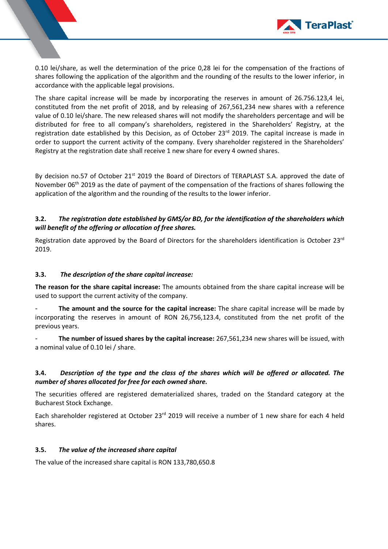

0.10 lei/share, as well the determination of the price 0,28 lei for the compensation of the fractions of shares following the application of the algorithm and the rounding of the results to the lower inferior, in accordance with the applicable legal provisions.

The share capital increase will be made by incorporating the reserves in amount of 26.756.123,4 lei, constituted from the net profit of 2018, and by releasing of 267,561,234 new shares with a reference value of 0.10 lei/share. The new released shares will not modify the shareholders percentage and will be distributed for free to all company's shareholders, registered in the Shareholders' Registry, at the registration date established by this Decision, as of October 23 $^{\text{rd}}$  2019. The capital increase is made in order to support the current activity of the company. Every shareholder registered in the Shareholders' Registry at the registration date shall receive 1 new share for every 4 owned shares.

By decision no.57 of October 21<sup>st</sup> 2019 the Board of Directors of TERAPLAST S.A. approved the date of November 06<sup>th</sup> 2019 as the date of payment of the compensation of the fractions of shares following the application of the algorithm and the rounding of the results to the lower inferior.

## **3.2.** *The registration date established by GMS/or BD, for the identification of the shareholders which will benefit of the offering or allocation of free shares.*

Registration date approved by the Board of Directors for the shareholders identification is October 23rd 2019.

## **3.3.** *The description of the share capital increase:*

**The reason for the share capital increase:** The amounts obtained from the share capital increase will be used to support the current activity of the company.

- **The amount and the source for the capital increase:** The share capital increase will be made by incorporating the reserves in amount of RON 26,756,123.4, constituted from the net profit of the previous years.

- **The number of issued shares by the capital increase:** 267,561,234 new shares will be issued, with a nominal value of 0.10 lei / share.

# **3.4.** *Description of the type and the class of the shares which will be offered or allocated. The number of shares allocated for free for each owned share.*

The securities offered are registered dematerialized shares, traded on the Standard category at the Bucharest Stock Exchange.

Each shareholder registered at October 23<sup>rd</sup> 2019 will receive a number of 1 new share for each 4 held shares.

#### **3.5.** *The value of the increased share capital*

The value of the increased share capital is RON 133,780,650.8